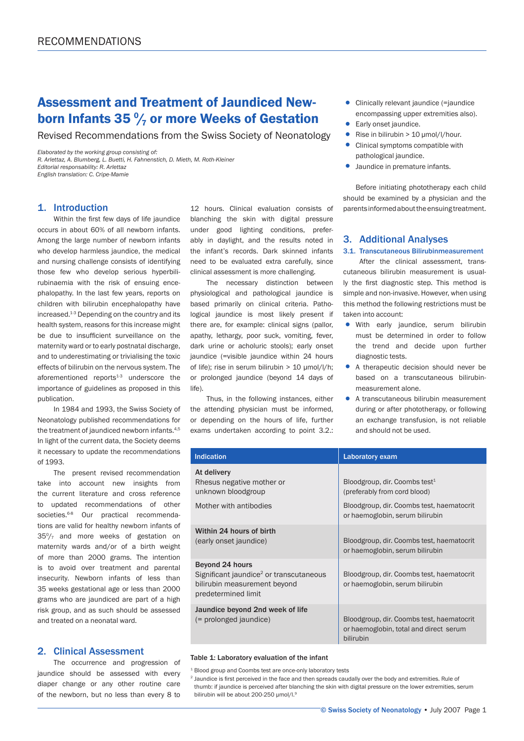# Assessment and Treatment of Jaundiced Newborn Infants 35  $\frac{9}{7}$  or more Weeks of Gestation

Revised Recommendations from the Swiss Society of Neonatology

*Elaborated by the working group consisting of: R. Arlettaz, A. Blumberg, L. Buetti, H. Fahnenstich, D. Mieth, M. Roth-Kleiner Editorial responsability: R. Arlettaz English translation: C. Cripe-Mamie*

## 1. Introduction

Within the first few days of life jaundice occurs in about 60% of all newborn infants. Among the large number of newborn infants who develop harmless jaundice, the medical and nursing challenge consists of identifying those few who develop serious hyperbilirubinaemia with the risk of ensuing encephalopathy. In the last few years, reports on children with bilirubin encephalopathy have increased.1-3 Depending on the country and its health system, reasons for this increase might be due to insufficient surveillance on the maternity ward or to early postnatal discharge, and to underestimating or trivialising the toxic effects of bilirubin on the nervous system. The aforementioned reports $1-3$  underscore the importance of guidelines as proposed in this publication.

In 1984 and 1993, the Swiss Society of Neonatology published recommendations for the treatment of jaundiced newborn infants.4,5 In light of the current data, the Society deems it necessary to update the recommendations of 1993.

The present revised recommendation take into account new insights from the current literature and cross reference to updated recommendations of other societies.<sup>6-8</sup> Our practical recommendations are valid for healthy newborn infants of  $35\frac{0}{7}$  and more weeks of gestation on maternity wards and/or of a birth weight of more than 2000 grams. The intention is to avoid over treatment and parental insecurity. Newborn infants of less than 35 weeks gestational age or less than 2000 grams who are jaundiced are part of a high risk group, and as such should be assessed and treated on a neonatal ward.

# 2. Clinical Assessment

The occurrence and progression of jaundice should be assessed with every diaper change or any other routine care of the newborn, but no less than every 8 to 12 hours. Clinical evaluation consists of blanching the skin with digital pressure under good lighting conditions, preferably in daylight, and the results noted in the infant's records. Dark skinned infants need to be evaluated extra carefully, since clinical assessment is more challenging.

The necessary distinction between physiological and pathological jaundice is based primarily on clinical criteria. Pathological jaundice is most likely present if there are, for example: clinical signs (pallor, apathy, lethargy, poor suck, vomiting, fever, dark urine or acholuric stools); early onset jaundice (=visible jaundice within 24 hours of life); rise in serum bilirubin > 10 μmol/l/h; or prolonged jaundice (beyond 14 days of life).

Thus, in the following instances, either the attending physician must be informed, or depending on the hours of life, further exams undertaken according to point 3.2.:

- Clinically relevant jaundice (=jaundice encompassing upper extremities also).
- Early onset jaundice.<br>• Rise in bilirubin  $> 10$
- Rise in bilirubin  $> 10 \mu$ mol/l/hour.<br>• Clinical symptoms compatible with
- Clinical symptoms compatible with pathological jaundice.
- Jaundice in premature infants.

 Before initiating phototherapy each child should be examined by a physician and the parents informed about the ensuing treatment.

## 3. Additional Analyses

#### 3.1. Transcutaneous Bilirubinmeasurement

After the clinical assessment, transcutaneous bilirubin measurement is usually the first diagnostic step. This method is simple and non-invasive. However, when using this method the following restrictions must be taken into account:

- With early jaundice, serum bilirubin must be determined in order to follow the trend and decide upon further diagnostic tests.
- A therapeutic decision should never be based on a transcutaneous bilirubin measurement alone.
- A transcutaneous bilirubin measurement during or after phototherapy, or following an exchange transfusion, is not reliable and should not be used.

| <b>Indication</b>                                                                                                             | Laboratory exam                                                                                                                                           |  |
|-------------------------------------------------------------------------------------------------------------------------------|-----------------------------------------------------------------------------------------------------------------------------------------------------------|--|
| At delivery<br>Rhesus negative mother or<br>unknown bloodgroup<br>Mother with antibodies                                      | Bloodgroup, dir. Coombs test <sup>1</sup><br>(preferably from cord blood)<br>Bloodgroup, dir. Coombs test, haematocrit<br>or haemoglobin, serum bilirubin |  |
| Within 24 hours of birth<br>(early onset jaundice)                                                                            | Bloodgroup, dir. Coombs test, haematocrit<br>or haemoglobin, serum bilirubin                                                                              |  |
| Beyond 24 hours<br>Significant jaundice <sup>2</sup> or transcutaneous<br>bilirubin measurement beyond<br>predetermined limit | Bloodgroup, dir. Coombs test, haematocrit<br>or haemoglobin, serum bilirubin                                                                              |  |
| Jaundice beyond 2nd week of life<br>(= prolonged jaundice)                                                                    | Bloodgroup, dir. Coombs test, haematocrit<br>or haemoglobin, total and direct serum<br>bilirubin                                                          |  |

#### Table 1: Laboratory evaluation of the infant

<sup>1</sup> Blood group and Coombs test are once-only laboratory tests

<sup>2</sup> Jaundice is first perceived in the face and then spreads caudally over the body and extremities. Rule of thumb: if jaundice is perceived after blanching the skin with digital pressure on the lower extremities, serum bilirubin will be about 200-250 umol/l.<sup>9</sup>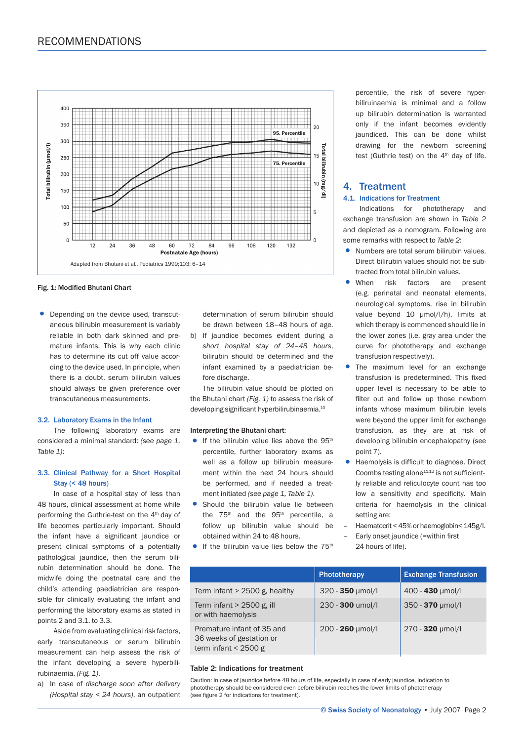

Fig. 1: Modified Bhutani Chart

• Depending on the device used, transcut aneous bilirubin measurement is variably reliable in both dark skinned and pre mature infants. This is why each clinic has to determine its cut off value accor ding to the device used. In principle, when there is a doubt, serum bilirubin values should always be given preference over transcutaneous measurements.

#### 3.2. Laboratory Exams in the Infant

The following laboratory exams are considered a minimal standard: *(see page 1, Table 1)*:

## 3.3. Clinical Pathway for a Short Hospital Stay (< 48 hours)

In case of a hospital stay of less than 48 hours, clinical assessment at home while performing the Guthrie-test on the 4<sup>th</sup> day of life becomes particularly important. Should the infant have a significant jaundice or present clinical symptoms of a potentially pathological jaundice, then the serum bilirubin determination should be done. The midwife doing the postnatal care and the child's attending paediatrician are responsible for clinically evaluating the infant and performing the laboratory exams as stated in points 2 and 3.1. to 3.3.

Aside from evaluating clinical risk factors, early transcutaneous or serum bilirubin measurement can help assess the risk of the infant developing a severe hyperbilirubinaemia. *(Fig. 1)*.

a) In case of *discharge soon after delivery (Hospital stay < 24 hours)*, an outpatient  determination of serum bilirubin should be drawn between 18*–*48 hours of age.

b) If jaundice becomes evident during a *short hospital stay of 24–48 hours*, bilirubin should be determined and the infant examined by a paediatrician be fore discharge.

The bilirubin value should be plotted on the Bhutani chart *(Fig. 1)* to assess the risk of developing significant hyperbilirubinaemia.<sup>10</sup>

#### Interpreting the Bhutani chart:

- If the bilirubin value lies above the  $95<sup>th</sup>$  percentile, further laboratory exams as well as a follow up bilirubin measure ment within the next 24 hours should be performed, and if needed a treat ment initiated *(see page 1, Table 1)*.
- Should the bilirubin value lie between the  $75<sup>th</sup>$  and the  $95<sup>th</sup>$  percentile, a follow up bilirubin value should be obtained within 24 to 48 hours.
- If the bilirubin value lies below the  $75<sup>th</sup>$

 percentile, the risk of severe hyper biliruinaemia is minimal and a follow up bilirubin determination is warranted only if the infant becomes evidently jaundiced. This can be done whilst drawing for the newborn screening test (Guthrie test) on the  $4<sup>th</sup>$  day of life.

## 4. Treatment

#### 4.1. Indications for Treatment

Indications for phototherapy and exchange transfusion are shown in *Table 2*  and depicted as a nomogram. Following are some remarks with respect to *Table 2*:

- Numbers are total serum bilirubin values. Direct bilirubin values should not be sub tracted from total bilirubin values.
- When risk factors are present (e.g. perinatal and neonatal elements, neurological symptoms, rise in bilirubin value beyond 10 umol/l/h), limits at which therapy is commenced should lie in the lower zones (i.e. gray area under the curve for phototherapy and exchange transfusion respectively).
- The maximum level for an exchange transfusion is predetermined. This fixed upper level is necessary to be able to filter out and follow up those newborn infants whose maximum bilirubin levels were beyond the upper limit for exchange transfusion, as they are at risk of developing bilirubin encephalopathy (see point 7).
- Haemolysis is difficult to diagnose. Direct Coombs testing alone $11,12$  is not sufficient ly reliable and reliculocyte count has too low a sensitivity and specificity. Main criteria for haemolysis in the clinical setting are:
- Haematocrit < 45% or haemoglobin< 145g/l.
- Early onset jaundice (=within first 24 hours of life).

|                                                                                  | Phototherapy       | <b>Exchange Transfusion</b> |
|----------------------------------------------------------------------------------|--------------------|-----------------------------|
| Term infant $> 2500$ g, healthy                                                  | $320 - 350$ µmol/l | $400 - 430$ µmol/l          |
| Term infant $> 2500$ g, ill<br>or with haemolysis                                | 230 - 300 umol/l   | $350 - 370$ µmol/l          |
| Premature infant of 35 and<br>36 weeks of gestation or<br>term infant < $2500 g$ | 200 - 260 µmol/l   | $270 - 320$ µmol/l          |

#### Table 2: Indications for treatment

Caution: In case of jaundice before 48 hours of life, especially in case of early jaundice, indication to phototherapy should be considered even before bilirubin reaches the lower limits of phototherapy (see figure 2 for indications for treatment).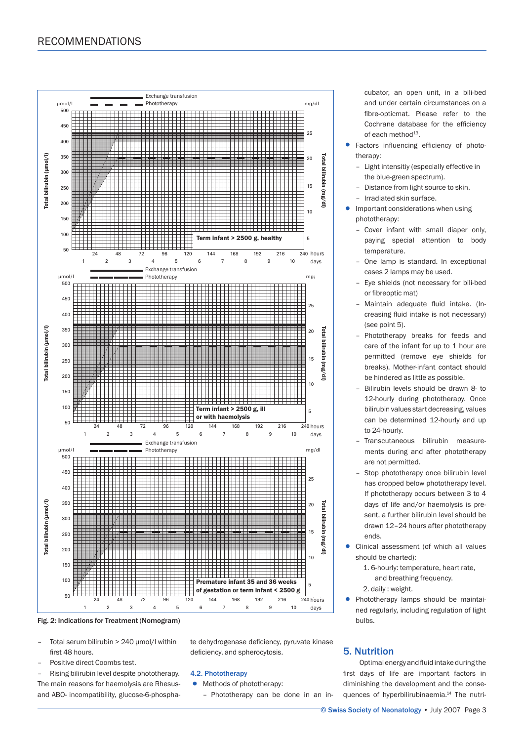

Fig. 2: Indications for Treatment (Nomogram)

- Total serum bilirubin > 240 μmol/l within first 48 hours.
- Positive direct Coombs test.
- Rising bilirubin level despite phototherapy.

The main reasons for haemolysis are Rhesusand ABO- incompatibility, glucose-6-phosphate dehydrogenase deficiency, pyruvate kinase deficiency, and spherocytosis.

#### 4.2. Phototherapy

- Methods of phototherapy:
	- Phototherapy can be done in an in-

 cubator, an open unit, in a bili-bed and under certain circumstances on a fibre-opticmat. Please refer to the Cochrane database for the efficiency of each method<sup>13</sup>.

- Factors influencing efficiency of photo therapy:
	- Light intensitiy (especially effective in the blue-green spectrum).
	- Distance from light source to skin.
- Irradiated skin surface.
- Important considerations when using phototherapy:
	- Cover infant with small diaper only, paying special attention to body temperature.
	- One lamp is standard. In exceptional cases 2 lamps may be used.
	- Eye shields (not necessary for bili-bed or fibreoptic mat)
	- Maintain adequate fluid intake. (In creasing fluid intake is not necessary) (see point 5).
	- Phototherapy breaks for feeds and care of the infant for up to 1 hour are permitted (remove eye shields for breaks). Mother-infant contact should be hindered as little as possible.
	- Bilirubin levels should be drawn 8- to 12-hourly during phototherapy. Once bilirubin values start decreasing, values can be determined 12-hourly and up to 24-hourly.
	- Transcutaneous bilirubin measure ments during and after phototherapy are not permitted.
	- Stop phototherapy once bilirubin level has dropped below phototherapy level. If phototherapy occurs between 3 to 4 days of life and/or haemolysis is pre sent, a further bilirubin level should be drawn 12–24 hours after phototherapy ends.
- Clinical assessment (of which all values should be charted):
	- 1. 6-hourly: temperature, heart rate, and breathing frequency.
	- 2. daily : weight.
- Phototherapy lamps should be maintai ned regularly, including regulation of light bulbs.

# 5. Nutrition

Optimal energy and fluid intake during the first days of life are important factors in diminishing the development and the consequences of hyperbilirubinaemia.<sup>14</sup> The nutri